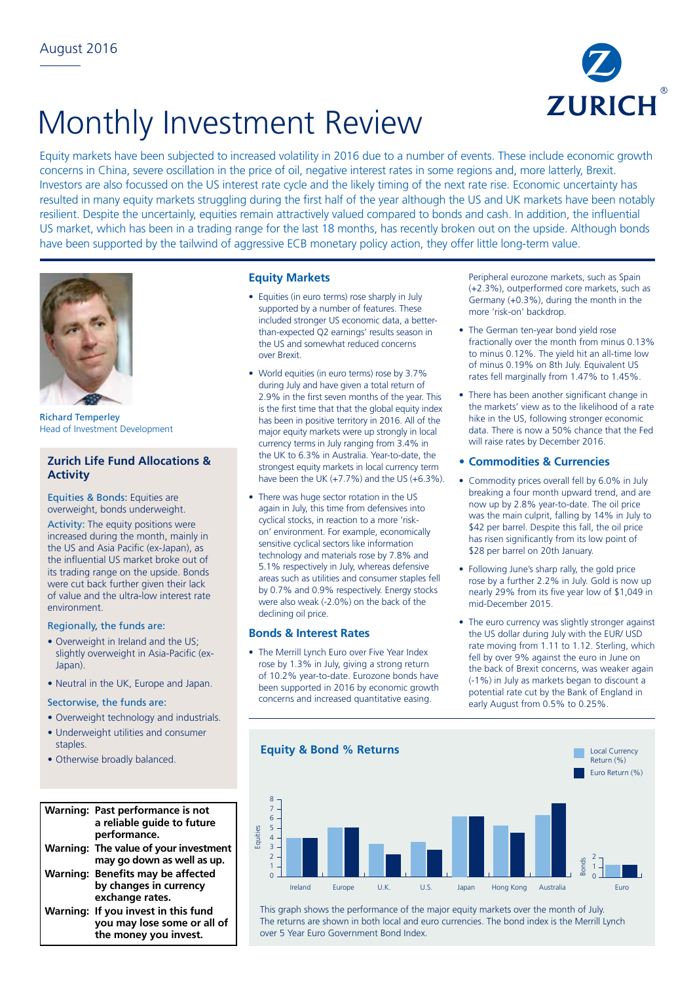

# Monthly Investment Review

Equity markets have been subjected to increased volatility in 2016 due to a number of events. These include economic growth concerns in China, severe oscillation in the price of oil, negative interest rates in some regions and, more latterly, Brexit. Investors are also focussed on the US interest rate cycle and the likely timing of the next rate rise. Economic uncertainty has resulted in many equity markets struggling during the first half of the year although the US and UK markets have been notably resilient. Despite the uncertainly, equities remain attractively valued compared to bonds and cash. In addition, the influential US market, which has been in a trading range for the last 18 months, has recently broken out on the upside. Although bonds have been supported by the tailwind of aggressive ECB monetary policy action, they offer little long-term value.



Richard Temperley Head of Investment Development

## **Zurich Life Fund Allocations & Activity**

Equities & Bonds: Equities are overweight, bonds underweight.

Activity: The equity positions were increased during the month, mainly in the US and Asia Pacific (ex-Japan), as the influential US market broke out of its trading range on the upside. Bonds were cut back further given their lack of value and the ultra-low interest rate environment.

## Regionally, the funds are:

- Overweight in Ireland and the US; slightly overweight in Asia-Pacific (ex-Japan).
- Neutral in the UK, Europe and Japan.

# Sectorwise, the funds are:

- Overweight technology and industrials.
- Underweight utilities and consumer staples.
- Otherwise broadly balanced.

#### Warning: Past performance is not **a reliable guide to future**  8 **performance. Warning: The value of your investment**  8 **may go down as well as up.**  7 3 **Warning: Benefits may be affected**  0 6 by changes in currency **exchange rates. Warning: If you invest in this fund**  4 -3 **you may lose some or all of**  -3 -5 **the money you invest.** -5 inver -4

<u>.</u>

## **Equity Markets**

- Equities (in euro terms) rose sharply in July supported by a number of features. These included stronger US economic data, a betterthan-expected Q2 earnings' results season in the US and somewhat reduced concerns over Brexit.
- World equities (in euro terms) rose by 3.7% during July and have given a total return of 2.9% in the first seven months of the year. This is the first time that that the global equity index has been in positive territory in 2016. All of the major equity markets were up strongly in local currency terms in July ranging from 3.4% in the UK to 6.3% in Australia. Year-to-date, the strongest equity markets in local currency term have been the UK (+7.7%) and the US (+6.3%).
- There was huge sector rotation in the US again in July, this time from defensives into cyclical stocks, in reaction to a more 'riskon' environment. For example, economically sensitive cyclical sectors like information technology and materials rose by 7.8% and 5.1% respectively in July, whereas defensive areas such as utilities and consumer staples fell by 0.7% and 0.9% respectively. Energy stocks were also weak (-2.0%) on the back of the declining oil price.

## **Bonds & Interest Rates**

• The Merrill Lynch Euro over Five Year Index rose by 1.3% in July, giving a strong return of 10.2% year-to-date. Eurozone bonds have been supported in 2016 by economic growth concerns and increased quantitative easing.

Peripheral eurozone markets, such as Spain (+2.3%), outperformed core markets, such as Germany (+0.3%), during the month in the more 'risk-on' backdrop.

- The German ten-year bond yield rose fractionally over the month from minus 0.13% to minus 0.12%. The yield hit an all-time low of minus 0.19% on 8th July. Equivalent US rates fell marginally from 1.47% to 1.45%.
- There has been another significant change in the markets' view as to the likelihood of a rate hike in the US, following stronger economic data. There is now a 50% chance that the Fed will raise rates by December 2016.

## **• Commodities & Currencies**

- Commodity prices overall fell by 6.0% in July breaking a four month upward trend, and are now up by 2.8% year-to-date. The oil price was the main culprit, falling by 14% in July to \$42 per barrel. Despite this fall, the oil price has risen significantly from its low point of \$28 per barrel on 20th January.
- Following June's sharp rally, the gold price rose by a further 2.2% in July. Gold is now up nearly 29% from its five year low of \$1,049 in mid-December 2015.
- The euro currency was slightly stronger against the US dollar during July with the EUR/ USD rate moving from 1.11 to 1.12. Sterling, which fell by over 9% against the euro in June on the back of Brexit concerns, was weaker again (-1%) in July as markets began to discount a potential rate cut by the Bank of England in early August from 0.5% to 0.25%.



This graph shows the performance of the major equity markets over the month of July. The returns are shown in both local and euro currencies. The bond index is the Merrill Lynch over 5 Year Euro Government Bond Index.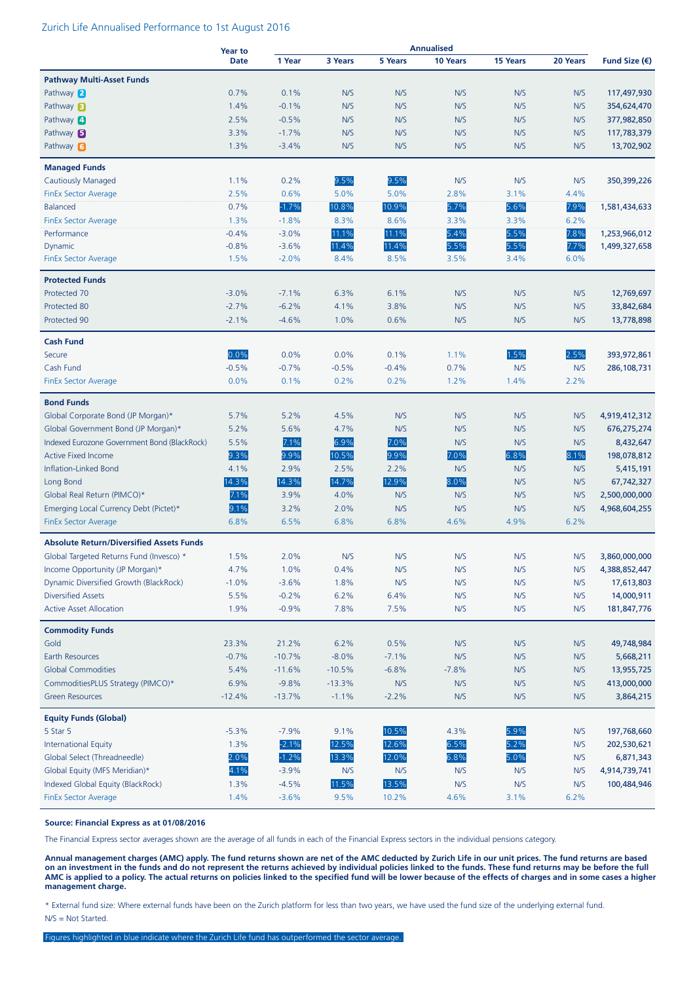#### Zurich Life Annualised Performance to 1st August 2016

|                                                 | <b>Year to</b> |              |              |              | <b>Annualised</b> |                 |             |               |
|-------------------------------------------------|----------------|--------------|--------------|--------------|-------------------|-----------------|-------------|---------------|
|                                                 | <b>Date</b>    | 1 Year       | 3 Years      | 5 Years      | 10 Years          | <b>15 Years</b> | 20 Years    | Fund Size (€) |
| <b>Pathway Multi-Asset Funds</b>                |                |              |              |              |                   |                 |             |               |
| Pathway 2                                       | 0.7%           | 0.1%         | N/S          | N/S          | N/S               | N/S             | N/S         | 117,497,930   |
| Pathway $\blacksquare$                          | 1.4%           | $-0.1%$      | N/S          | N/S          | N/S               | N/S             | N/S         | 354,624,470   |
| Pathway 4                                       | 2.5%           | $-0.5%$      | N/S          | N/S          | N/S               | N/S             | N/S         | 377,982,850   |
| Pathway <b>B</b>                                | 3.3%           | $-1.7%$      | N/S          | N/S          | N/S               | N/S             | N/S         | 117,783,379   |
| Pathway 6                                       | 1.3%           | $-3.4%$      | N/S          | N/S          | N/S               | N/S             | N/S         | 13,702,902    |
|                                                 |                |              |              |              |                   |                 |             |               |
| <b>Managed Funds</b>                            |                |              |              |              |                   |                 |             |               |
| <b>Cautiously Managed</b>                       | 1.1%<br>2.5%   | 0.2%<br>0.6% | 9.5%<br>5.0% | 9.5%<br>5.0% | N/S<br>2.8%       | N/S<br>3.1%     | N/S<br>4.4% | 350,399,226   |
| <b>FinEx Sector Average</b>                     |                |              |              |              |                   |                 |             |               |
| Balanced                                        | 0.7%           | $-1.7%$      | 10.8%        | 10.9%        | 5.7%              | 5.6%            | 7.9%        | 1,581,434,633 |
| <b>FinEx Sector Average</b>                     | 1.3%           | $-1.8%$      | 8.3%         | 8.6%         | 3.3%              | 3.3%            | 6.2%        |               |
| Performance                                     | $-0.4%$        | $-3.0%$      | 11.1%        | 11.1%        | 5.4%              | 5.5%            | 7.8%        | 1,253,966,012 |
| Dynamic                                         | $-0.8%$        | $-3.6%$      | 11.4%        | 11.4%        | 5.5%              | 5.5%            | 7.7%        | 1,499,327,658 |
| <b>FinEx Sector Average</b>                     | 1.5%           | $-2.0%$      | 8.4%         | 8.5%         | 3.5%              | 3.4%            | 6.0%        |               |
| <b>Protected Funds</b>                          |                |              |              |              |                   |                 |             |               |
| Protected 70                                    | $-3.0%$        | $-7.1%$      | 6.3%         | 6.1%         | N/S               | N/S             | N/S         | 12,769,697    |
| Protected 80                                    | $-2.7%$        | $-6.2%$      | 4.1%         | 3.8%         | N/S               | N/S             | N/S         | 33,842,684    |
| Protected 90                                    | $-2.1%$        | $-4.6%$      | 1.0%         | 0.6%         | N/S               | N/S             | N/S         | 13,778,898    |
| <b>Cash Fund</b>                                |                |              |              |              |                   |                 |             |               |
| Secure                                          | 0.0%           | 0.0%         | 0.0%         | 0.1%         | 1.1%              | 1.5%            | 2.5%        | 393,972,861   |
| Cash Fund                                       | $-0.5%$        | $-0.7%$      | $-0.5%$      | $-0.4%$      | 0.7%              | N/S             | N/S         | 286,108,731   |
| <b>FinEx Sector Average</b>                     | 0.0%           | 0.1%         | 0.2%         | 0.2%         | 1.2%              | 1.4%            | 2.2%        |               |
|                                                 |                |              |              |              |                   |                 |             |               |
| <b>Bond Funds</b>                               |                |              |              |              |                   |                 |             |               |
| Global Corporate Bond (JP Morgan)*              | 5.7%           | 5.2%         | 4.5%         | N/S          | N/S               | N/S             | N/S         | 4,919,412,312 |
| Global Government Bond (JP Morgan)*             | 5.2%           | 5.6%         | 4.7%         | N/S          | N/S               | N/S             | N/S         | 676,275,274   |
| Indexed Eurozone Government Bond (BlackRock)    | 5.5%           | 7.1%         | 6.9%         | 7.0%         | N/S               | N/S             | N/S         | 8,432,647     |
| <b>Active Fixed Income</b>                      | 9.3%           | 9.9%         | 10.5%        | 9.9%         | 7.0%              | 6.8%            | 8.1%        | 198,078,812   |
| Inflation-Linked Bond                           | 4.1%           | 2.9%         | 2.5%         | 2.2%         | N/S               | N/S             | N/S         | 5,415,191     |
| Long Bond                                       | 14.3%          | 14.3%        | 14.7%        | 12.9%        | 8.0%              | N/S             | N/S         | 67,742,327    |
| Global Real Return (PIMCO)*                     | 7.1%           | 3.9%         | 4.0%         | N/S          | N/S               | N/S             | N/S         | 2,500,000,000 |
| Emerging Local Currency Debt (Pictet)*          | 9.1%           | 3.2%         | 2.0%         | N/S          | N/S               | N/S             | N/S         | 4,968,604,255 |
| <b>FinEx Sector Average</b>                     | 6.8%           | 6.5%         | 6.8%         | 6.8%         | 4.6%              | 4.9%            | 6.2%        |               |
| <b>Absolute Return/Diversified Assets Funds</b> |                |              |              |              |                   |                 |             |               |
| Global Targeted Returns Fund (Invesco) *        | 1.5%           | 2.0%         | N/S          | N/S          | N/S               | N/S             | N/S         | 3,860,000,000 |
| Income Opportunity (JP Morgan)*                 | 4.7%           | 1.0%         | 0.4%         | N/S          | N/S               | N/S             | N/S         | 4,388,852,447 |
| Dynamic Diversified Growth (BlackRock)          | $-1.0%$        | $-3.6%$      | 1.8%         | N/S          | N/S               | N/S             | N/S         | 17,613,803    |
| <b>Diversified Assets</b>                       | 5.5%           | $-0.2%$      | 6.2%         | 6.4%         | N/S               | N/S             | N/S         | 14,000,911    |
| <b>Active Asset Allocation</b>                  | 1.9%           | $-0.9%$      | 7.8%         | 7.5%         | N/S               | N/S             | N/S         | 181,847,776   |
| <b>Commodity Funds</b>                          |                |              |              |              |                   |                 |             |               |
| Gold                                            | 23.3%          | 21.2%        | 6.2%         | 0.5%         | N/S               | N/S             | N/S         | 49,748,984    |
| Earth Resources                                 | $-0.7%$        | $-10.7%$     | $-8.0%$      | $-7.1%$      | N/S               | N/S             | N/S         | 5,668,211     |
| <b>Global Commodities</b>                       | 5.4%           | $-11.6%$     | $-10.5%$     | $-6.8%$      | $-7.8%$           | N/S             | N/S         | 13,955,725    |
| CommoditiesPLUS Strategy (PIMCO)*               | 6.9%           | $-9.8%$      | $-13.3%$     | N/S          | N/S               | N/S             | N/S         | 413,000,000   |
| <b>Green Resources</b>                          | $-12.4%$       | $-13.7%$     | $-1.1%$      | $-2.2%$      | N/S               | N/S             | N/S         | 3,864,215     |
|                                                 |                |              |              |              |                   |                 |             |               |
| <b>Equity Funds (Global)</b>                    |                |              |              |              |                   |                 |             |               |
| 5 Star 5                                        | $-5.3%$        | $-7.9%$      | 9.1%         | 10.5%        | 4.3%              | 5.9%            | N/S         | 197,768,660   |
| International Equity                            | 1.3%           | $-2.1%$      | 12.5%        | 12.6%        | 6.5%              | 5.2%            | N/S         | 202,530,621   |
| Global Select (Threadneedle)                    | 2.0%           | $-1.2%$      | 13.3%        | 12.0%        | 6.8%              | 5.0%            | N/S         | 6,871,343     |
| Global Equity (MFS Meridian)*                   | 4.1%           | $-3.9%$      | N/S          | N/S          | N/S               | N/S             | N/S         | 4,914,739,741 |
| Indexed Global Equity (BlackRock)               | 1.3%           | $-4.5%$      | 11.5%        | 13.5%        | N/S               | N/S             | N/S         | 100,484,946   |
| <b>FinEx Sector Average</b>                     | 1.4%           | $-3.6%$      | 9.5%         | 10.2%        | 4.6%              | 3.1%            | 6.2%        |               |

#### **Source: Financial Express as at 01/08/2016**

The Financial Express sector averages shown are the average of all funds in each of the Financial Express sectors in the individual pensions category.

**Annual management charges (AMC) apply. The fund returns shown are net of the AMC deducted by Zurich Life in our unit prices. The fund returns are based on an investment in the funds and do not represent the returns achieved by individual policies linked to the funds. These fund returns may be before the full AMC is applied to a policy. The actual returns on policies linked to the specified fund will be lower because of the effects of charges and in some cases a higher management charge.**

\* External fund size: Where external funds have been on the Zurich platform for less than two years, we have used the fund size of the underlying external fund. N/S = Not Started.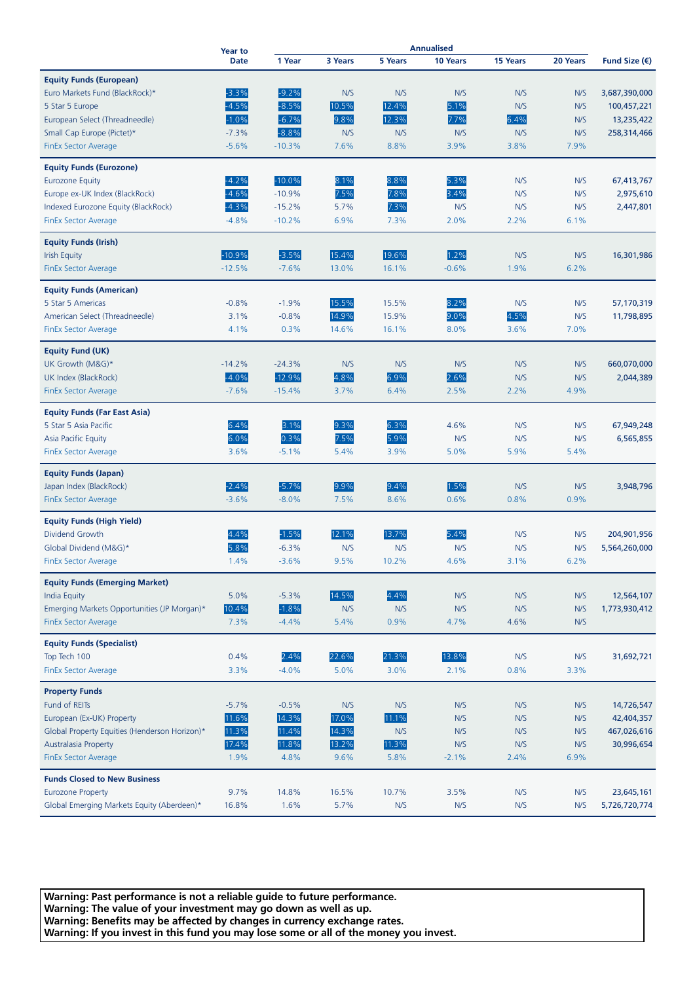|                                                     | <b>Year to</b><br><b>Date</b> |          |         |                |             |             |             |                        |
|-----------------------------------------------------|-------------------------------|----------|---------|----------------|-------------|-------------|-------------|------------------------|
|                                                     |                               | 1 Year   | 3 Years | <b>5 Years</b> | 10 Years    | 15 Years    | 20 Years    | Fund Size $(\epsilon)$ |
| <b>Equity Funds (European)</b>                      |                               |          |         |                |             |             |             |                        |
| Euro Markets Fund (BlackRock)*                      | $-3.3%$                       | $-9.2%$  | N/S     | N/S            | N/S         | N/S         | N/S         | 3,687,390,000          |
| 5 Star 5 Europe                                     | $-4.5%$                       | $-8.5%$  | 10.5%   | 12.4%          | 5.1%        | N/S         | N/S         | 100,457,221            |
| European Select (Threadneedle)                      | $-1.0%$                       | $-6.7%$  | 9.8%    | 12.3%          | 7.7%        | 6.4%        | N/S         | 13,235,422             |
| Small Cap Europe (Pictet)*                          | $-7.3%$                       | $-8.8%$  | N/S     | N/S            | N/S         | N/S         | N/S         | 258,314,466            |
| <b>FinEx Sector Average</b>                         | $-5.6%$                       | $-10.3%$ | 7.6%    | 8.8%           | 3.9%        | 3.8%        | 7.9%        |                        |
|                                                     |                               |          |         |                |             |             |             |                        |
| <b>Equity Funds (Eurozone)</b>                      |                               |          |         |                |             |             |             |                        |
| <b>Eurozone Equity</b>                              | $-4.2%$                       | $-10.0%$ | 8.1%    | 8.8%           | 5.3%        | N/S         | N/S         | 67,413,767             |
| Europe ex-UK Index (BlackRock)                      | $-4.6%$                       | $-10.9%$ | 7.5%    | 7.8%           | 3.4%        | N/S         | N/S         | 2,975,610              |
| Indexed Eurozone Equity (BlackRock)                 | $-4.3%$                       | $-15.2%$ | 5.7%    | 7.3%           | N/S         | N/S         | N/S         | 2,447,801              |
| <b>FinEx Sector Average</b>                         | $-4.8%$                       | $-10.2%$ | 6.9%    | 7.3%           | 2.0%        | 2.2%        | 6.1%        |                        |
| <b>Equity Funds (Irish)</b>                         |                               |          |         |                |             |             |             |                        |
| <b>Irish Equity</b>                                 | $-10.9%$                      | $-3.5%$  | 15.4%   | 19.6%          | 1.2%        | N/S         | N/S         | 16,301,986             |
| FinEx Sector Average                                | $-12.5%$                      | $-7.6%$  | 13.0%   | 16.1%          | $-0.6%$     | 1.9%        | 6.2%        |                        |
|                                                     |                               |          |         |                |             |             |             |                        |
| <b>Equity Funds (American)</b>                      |                               |          |         |                |             |             |             |                        |
| 5 Star 5 Americas                                   | $-0.8%$                       | $-1.9%$  | 15.5%   | 15.5%          | 8.2%        | N/S         | N/S         | 57,170,319             |
| American Select (Threadneedle)                      | 3.1%                          | $-0.8%$  | 14.9%   | 15.9%          | 9.0%        | 4.5%        | N/S         | 11,798,895             |
| <b>FinEx Sector Average</b>                         | 4.1%                          | 0.3%     | 14.6%   | 16.1%          | 8.0%        | 3.6%        | 7.0%        |                        |
| <b>Equity Fund (UK)</b>                             |                               |          |         |                |             |             |             |                        |
| UK Growth (M&G)*                                    | $-14.2%$                      | $-24.3%$ | N/S     | N/S            | N/S         | N/S         | N/S         | 660,070,000            |
| UK Index (BlackRock)                                | $-4.0%$                       | $-12.9%$ | 4.8%    | 6.9%           | 2.6%        | N/S         | N/S         | 2,044,389              |
| <b>FinEx Sector Average</b>                         | $-7.6%$                       | $-15.4%$ | 3.7%    | 6.4%           | 2.5%        | 2.2%        | 4.9%        |                        |
|                                                     |                               |          |         |                |             |             |             |                        |
| <b>Equity Funds (Far East Asia)</b>                 |                               |          |         |                |             |             |             |                        |
| 5 Star 5 Asia Pacific                               | 6.4%                          | 3.1%     | 9.3%    | 6.3%           | 4.6%        | N/S         | N/S         | 67,949,248             |
| Asia Pacific Equity                                 | 6.0%                          | 0.3%     | 7.5%    | 5.9%           | N/S         | N/S         | N/S         | 6,565,855              |
| <b>FinEx Sector Average</b>                         | 3.6%                          | $-5.1%$  | 5.4%    | 3.9%           | 5.0%        | 5.9%        | 5.4%        |                        |
| <b>Equity Funds (Japan)</b>                         |                               |          |         |                |             |             |             |                        |
| Japan Index (BlackRock)                             | $-2.4%$                       | $-5.7%$  | 9.9%    | 9.4%           | 1.5%        | N/S         | N/S         | 3,948,796              |
| <b>FinEx Sector Average</b>                         | $-3.6%$                       | $-8.0%$  | 7.5%    | 8.6%           | 0.6%        | 0.8%        | 0.9%        |                        |
|                                                     |                               |          |         |                |             |             |             |                        |
| <b>Equity Funds (High Yield)</b><br>Dividend Growth | 4.4%                          | $-1.5%$  | 12.1%   | 13.7%          | 5.4%        | N/S         | N/S         | 204,901,956            |
|                                                     |                               | $-6.3%$  | N/S     |                |             |             |             |                        |
| Global Dividend (M&G)*                              | 5.8%<br>1.4%                  | $-3.6%$  | 9.5%    | N/S<br>10.2%   | N/S<br>4.6% | N/S<br>3.1% | N/S<br>6.2% | 5,564,260,000          |
| <b>FinEx Sector Average</b>                         |                               |          |         |                |             |             |             |                        |
| <b>Equity Funds (Emerging Market)</b>               |                               |          |         |                |             |             |             |                        |
| <b>India Equity</b>                                 | 5.0%                          | $-5.3%$  | 14.5%   | 4.4%           | N/S         | N/S         | N/S         | 12,564,107             |
| Emerging Markets Opportunities (JP Morgan)*         | 10.4%                         | $-1.8%$  | N/S     | N/S            | N/S         | N/S         | N/S         | 1,773,930,412          |
| <b>FinEx Sector Average</b>                         | 7.3%                          | $-4.4%$  | 5.4%    | 0.9%           | 4.7%        | 4.6%        | N/S         |                        |
| <b>Equity Funds (Specialist)</b>                    |                               |          |         |                |             |             |             |                        |
| Top Tech 100                                        | 0.4%                          | 2.4%     | 22.6%   | 21.3%          | 13.8%       | N/S         | N/S         | 31,692,721             |
| <b>FinEx Sector Average</b>                         | 3.3%                          | $-4.0%$  | 5.0%    | 3.0%           | 2.1%        | 0.8%        | 3.3%        |                        |
|                                                     |                               |          |         |                |             |             |             |                        |
| <b>Property Funds</b>                               |                               |          |         |                |             |             |             |                        |
| Fund of REITs                                       | $-5.7%$                       | $-0.5%$  | N/S     | N/S            | N/S         | N/S         | N/S         | 14,726,547             |
| European (Ex-UK) Property                           | 11.6%                         | 14.3%    | 17.0%   | 11.1%          | N/S         | N/S         | N/S         | 42,404,357             |
| Global Property Equities (Henderson Horizon)*       | 11.3%                         | 11.4%    | 14.3%   | N/S            | N/S         | N/S         | N/S         | 467,026,616            |
| <b>Australasia Property</b>                         | 17.4%                         | 11.8%    | 13.2%   | 11.3%          | N/S         | N/S         | N/S         | 30,996,654             |
| <b>FinEx Sector Average</b>                         | 1.9%                          | 4.8%     | 9.6%    | 5.8%           | $-2.1%$     | 2.4%        | 6.9%        |                        |
| <b>Funds Closed to New Business</b>                 |                               |          |         |                |             |             |             |                        |
| <b>Eurozone Property</b>                            | 9.7%                          | 14.8%    | 16.5%   | 10.7%          | 3.5%        | N/S         | N/S         | 23,645,161             |
| Global Emerging Markets Equity (Aberdeen)*          | 16.8%                         | 1.6%     | 5.7%    | N/S            | N/S         | N/S         | N/S         | 5,726,720,774          |
|                                                     |                               |          |         |                |             |             |             |                        |

**Warning: Past performance is not a reliable guide to future performance. Warning: The value of your investment may go down as well as up. Warning: Benefits may be affected by changes in currency exchange rates. Warning: If you invest in this fund you may lose some or all of the money you invest.**